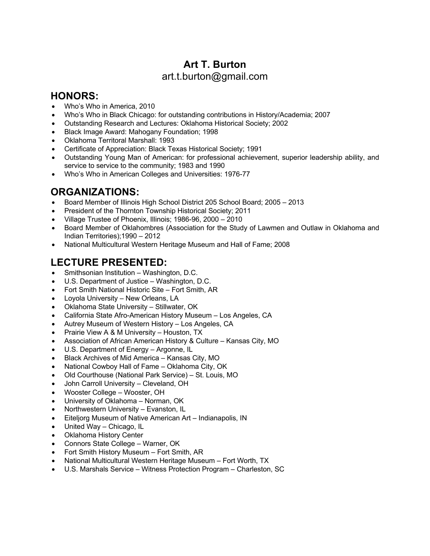# **Art T. Burton** art.t.burton@gmail.com

#### **HONORS:**

- Who's Who in America, 2010
- Who's Who in Black Chicago: for outstanding contributions in History/Academia; 2007
- Outstanding Research and Lectures: Oklahoma Historical Society; 2002
- Black Image Award: Mahogany Foundation; 1998
- Oklahoma Territoral Marshall: 1993
- Certificate of Appreciation: Black Texas Historical Society; 1991
- Outstanding Young Man of American: for professional achievement, superior leadership ability, and service to service to the community; 1983 and 1990
- Who's Who in American Colleges and Universities: 1976-77

### **ORGANIZATIONS:**

- Board Member of Illinois High School District 205 School Board; 2005 2013
- President of the Thornton Township Historical Society; 2011
- Village Trustee of Phoenix, Illinois; 1986-96, 2000 2010
- Board Member of Oklahombres (Association for the Study of Lawmen and Outlaw in Oklahoma and Indian Territories);1990 – 2012
- National Multicultural Western Heritage Museum and Hall of Fame; 2008

## **LECTURE PRESENTED:**

- Smithsonian Institution Washington, D.C.
- U.S. Department of Justice Washington, D.C.
- Fort Smith National Historic Site Fort Smith, AR
- Loyola University New Orleans, LA
- Oklahoma State University Stillwater, OK
- California State Afro-American History Museum Los Angeles, CA
- Autrey Museum of Western History Los Angeles, CA
- Prairie View A & M University Houston, TX
- Association of African American History & Culture Kansas City, MO
- U.S. Department of Energy Argonne, IL
- Black Archives of Mid America Kansas City, MO
- National Cowboy Hall of Fame Oklahoma City, OK
- Old Courthouse (National Park Service) St. Louis, MO
- John Carroll University Cleveland, OH
- Wooster College Wooster, OH
- University of Oklahoma Norman, OK
- Northwestern University Evanston, IL
- Eiteljorg Museum of Native American Art Indianapolis, IN
- United Way Chicago, IL
- Oklahoma History Center
- Connors State College Warner, OK
- Fort Smith History Museum Fort Smith, AR
- National Multicultural Western Heritage Museum Fort Worth, TX
- U.S. Marshals Service Witness Protection Program Charleston, SC